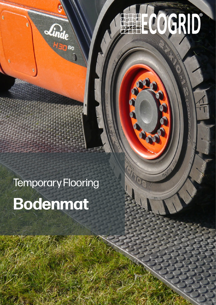# HELCOGRID

# Temporary Flooring

**Linde** 

# **Bodenmat**